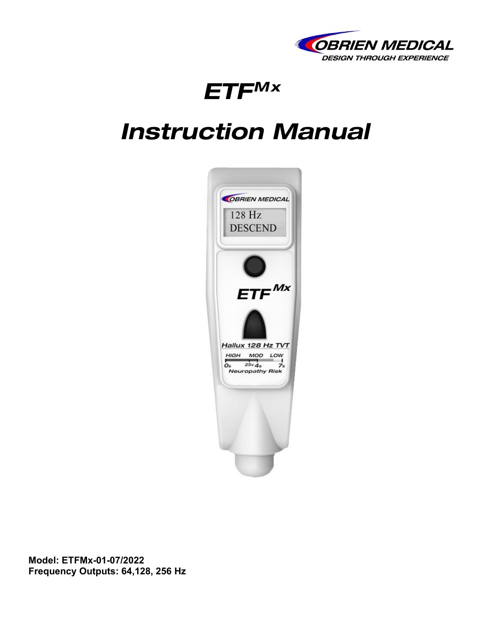

# *ETFMx*

# *Instruction Manual*



**Model: ETFMx-01-07/2022 Frequency Outputs: 64,128, 256 Hz**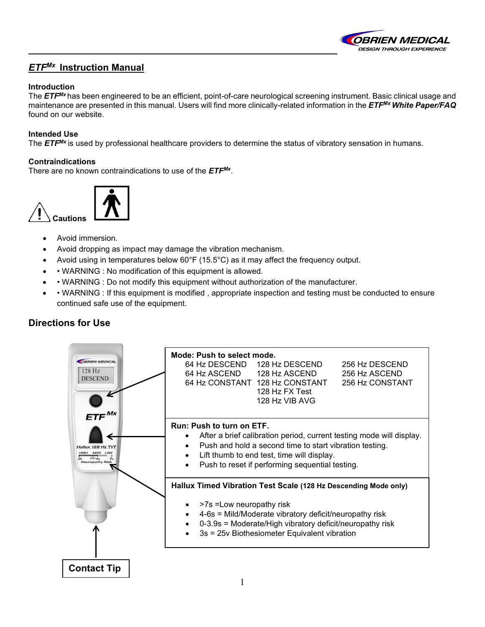

## *ETFMx* **Instruction Manual**

#### **Introduction**

The *ETFMx* has been engineered to be an efficient, point-of-care neurological screening instrument. Basic clinical usage and maintenance are presented in this manual. Users will find more clinically-related information in the *ETFMxWhite Paper/FAQ* found on our website.

#### **Intended Use**

The *ETFMx* is used by professional healthcare providers to determine the status of vibratory sensation in humans.

#### **Contraindications**

There are no known contraindications to use of the *ETFMx*.



- Avoid immersion.
- Avoid dropping as impact may damage the vibration mechanism.
- Avoid using in temperatures below 60°F (15.5°C) as it may affect the frequency output.
- • WARNING : No modification of this equipment is allowed.
- • WARNING : Do not modify this equipment without authorization of the manufacturer.
- • WARNING : If this equipment is modified , appropriate inspection and testing must be conducted to ensure continued safe use of the equipment.

## **Directions for Use**

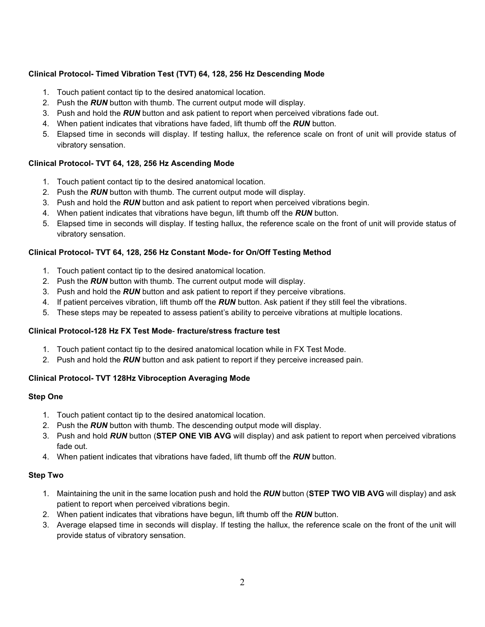### **Clinical Protocol- Timed Vibration Test (TVT) 64, 128, 256 Hz Descending Mode**

- 1. Touch patient contact tip to the desired anatomical location.
- 2. Push the *RUN* button with thumb. The current output mode will display.
- 3. Push and hold the *RUN* button and ask patient to report when perceived vibrations fade out.
- 4. When patient indicates that vibrations have faded, lift thumb off the *RUN* button.
- 5. Elapsed time in seconds will display. If testing hallux, the reference scale on front of unit will provide status of vibratory sensation.

#### **Clinical Protocol- TVT 64, 128, 256 Hz Ascending Mode**

- 1. Touch patient contact tip to the desired anatomical location.
- 2. Push the *RUN* button with thumb. The current output mode will display.
- 3. Push and hold the *RUN* button and ask patient to report when perceived vibrations begin.
- 4. When patient indicates that vibrations have begun, lift thumb off the *RUN* button.
- 5. Elapsed time in seconds will display. If testing hallux, the reference scale on the front of unit will provide status of vibratory sensation.

#### **Clinical Protocol- TVT 64, 128, 256 Hz Constant Mode- for On/Off Testing Method**

- 1. Touch patient contact tip to the desired anatomical location.
- 2. Push the *RUN* button with thumb. The current output mode will display.
- 3. Push and hold the *RUN* button and ask patient to report if they perceive vibrations.
- 4. If patient perceives vibration, lift thumb off the *RUN* button. Ask patient if they still feel the vibrations.
- 5. These steps may be repeated to assess patient's ability to perceive vibrations at multiple locations.

#### **Clinical Protocol-128 Hz FX Test Mode**- **fracture/stress fracture test**

- 1. Touch patient contact tip to the desired anatomical location while in FX Test Mode.
- 2. Push and hold the *RUN* button and ask patient to report if they perceive increased pain.

### **Clinical Protocol- TVT 128Hz Vibroception Averaging Mode**

#### **Step One**

- 1. Touch patient contact tip to the desired anatomical location.
- 2. Push the *RUN* button with thumb. The descending output mode will display.
- 3. Push and hold *RUN* button (**STEP ONE VIB AVG** will display) and ask patient to report when perceived vibrations fade out.
- 4. When patient indicates that vibrations have faded, lift thumb off the *RUN* button.

#### **Step Two**

- 1. Maintaining the unit in the same location push and hold the *RUN* button (**STEP TWO VIB AVG** will display) and ask patient to report when perceived vibrations begin.
- 2. When patient indicates that vibrations have begun, lift thumb off the *RUN* button.
- 3. Average elapsed time in seconds will display. If testing the hallux, the reference scale on the front of the unit will provide status of vibratory sensation.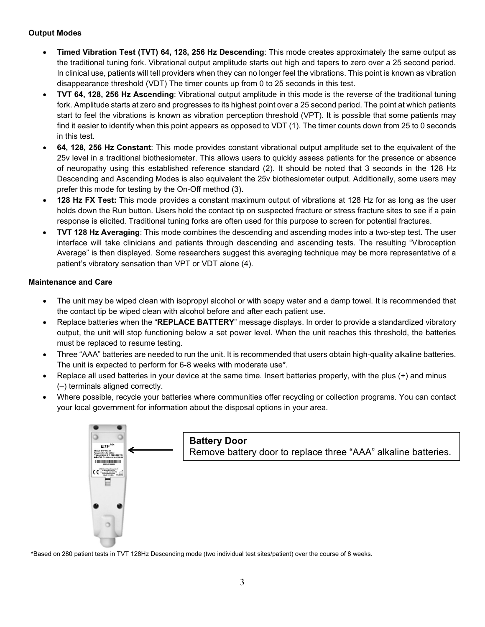#### **Output Modes**

- **Timed Vibration Test (TVT) 64, 128, 256 Hz Descending**: This mode creates approximately the same output as the traditional tuning fork. Vibrational output amplitude starts out high and tapers to zero over a 25 second period. In clinical use, patients will tell providers when they can no longer feel the vibrations. This point is known as vibration disappearance threshold (VDT) The timer counts up from 0 to 25 seconds in this test.
- **TVT 64, 128, 256 Hz Ascending**: Vibrational output amplitude in this mode is the reverse of the traditional tuning fork. Amplitude starts at zero and progresses to its highest point over a 25 second period. The point at which patients start to feel the vibrations is known as vibration perception threshold (VPT). It is possible that some patients may find it easier to identify when this point appears as opposed to VDT (1). The timer counts down from 25 to 0 seconds in this test.
- **64, 128, 256 Hz Constant**: This mode provides constant vibrational output amplitude set to the equivalent of the 25v level in a traditional biothesiometer. This allows users to quickly assess patients for the presence or absence of neuropathy using this established reference standard (2). It should be noted that 3 seconds in the 128 Hz Descending and Ascending Modes is also equivalent the 25v biothesiometer output. Additionally, some users may prefer this mode for testing by the On-Off method (3).
- **128 Hz FX Test:** This mode provides a constant maximum output of vibrations at 128 Hz for as long as the user holds down the Run button. Users hold the contact tip on suspected fracture or stress fracture sites to see if a pain response is elicited. Traditional tuning forks are often used for this purpose to screen for potential fractures.
- **TVT 128 Hz Averaging**: This mode combines the descending and ascending modes into a two-step test. The user interface will take clinicians and patients through descending and ascending tests. The resulting "Vibroception Average" is then displayed. Some researchers suggest this averaging technique may be more representative of a patient's vibratory sensation than VPT or VDT alone (4).

#### **Maintenance and Care**

- The unit may be wiped clean with isopropyl alcohol or with soapy water and a damp towel. It is recommended that the contact tip be wiped clean with alcohol before and after each patient use.
- Replace batteries when the "**REPLACE BATTERY**" message displays. In order to provide a standardized vibratory output, the unit will stop functioning below a set power level. When the unit reaches this threshold, the batteries must be replaced to resume testing.
- Three "AAA" batteries are needed to run the unit. It is recommended that users obtain high-quality alkaline batteries. The unit is expected to perform for 6-8 weeks with moderate use\*.
- Replace all used batteries in your device at the same time. Insert batteries properly, with the plus (+) and minus (–) terminals aligned correctly.
- Where possible, recycle your batteries where communities offer recycling or collection programs. You can contact your local government for information about the disposal options in your area.



**\***Based on 280 patient tests in TVT 128Hz Descending mode (two individual test sites/patient) over the course of 8 weeks.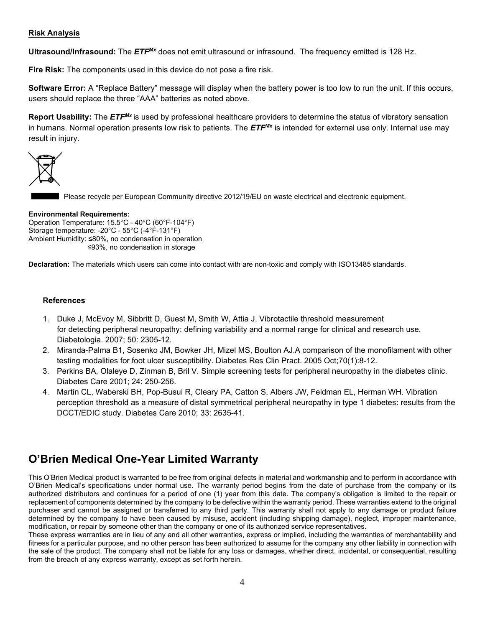#### **Risk Analysis**

**Ultrasound/Infrasound:** The *ETFMx* does not emit ultrasound or infrasound. The frequency emitted is 128 Hz.

**Fire Risk:** The components used in this device do not pose a fire risk.

**Software Error:** A "Replace Battery" message will display when the battery power is too low to run the unit. If this occurs, users should replace the three "AAA" batteries as noted above.

**Report Usability:** The *ETFMx* is used by professional healthcare providers to determine the status of vibratory sensation in humans. Normal operation presents low risk to patients. The *ETFMx* is intended for external use only. Internal use may result in injury.



Please recycle per European Community directive 2012/19/EU on waste electrical and electronic equipment.

#### **Environmental Requirements:**

Operation Temperature: 15.5°C - 40°C (60°F-104°F) Storage temperature: -20°C - 55°C (-4°F-131°F) Ambient Humidity: ≤80%, no condensation in operation ≤93%, no condensation in storage

**Declaration:** The materials which users can come into contact with are non-toxic and comply with ISO13485 standards.

#### **References**

- 1. [Duke J,](http://www.ncbi.nlm.nih.gov/pubmed?term=Duke%20J%5BAuthor%5D&cauthor=true&cauthor_uid=17846743) [McEvoy M,](http://www.ncbi.nlm.nih.gov/pubmed?term=McEvoy%20M%5BAuthor%5D&cauthor=true&cauthor_uid=17846743) [Sibbritt D,](http://www.ncbi.nlm.nih.gov/pubmed?term=Sibbritt%20D%5BAuthor%5D&cauthor=true&cauthor_uid=17846743) [Guest M,](http://www.ncbi.nlm.nih.gov/pubmed?term=Guest%20M%5BAuthor%5D&cauthor=true&cauthor_uid=17846743) [Smith W,](http://www.ncbi.nlm.nih.gov/pubmed?term=Smith%20W%5BAuthor%5D&cauthor=true&cauthor_uid=17846743) [Attia J.](http://www.ncbi.nlm.nih.gov/pubmed?term=Attia%20J%5BAuthor%5D&cauthor=true&cauthor_uid=17846743) Vibrotactile threshold measurement for detecting peripheral neuropathy: defining variability and a normal range for clinical and research use. [Diabetologia.](http://www.ncbi.nlm.nih.gov/pubmed/?term=Vibrotactile+threshold+measurement+for+detecting+peripheral+neuropathy%3A+defining+variability+and+a+normal+range+for+clinical+and+research+use) 2007; 50: 2305-12.
- 2. [Miranda-Palma B1](http://www.ncbi.nlm.nih.gov/pubmed/?term=Miranda-Palma%20B%5BAuthor%5D&cauthor=true&cauthor_uid=16126117), [Sosenko JM,](http://www.ncbi.nlm.nih.gov/pubmed/?term=Sosenko%20JM%5BAuthor%5D&cauthor=true&cauthor_uid=16126117) [Bowker JH,](http://www.ncbi.nlm.nih.gov/pubmed/?term=Bowker%20JH%5BAuthor%5D&cauthor=true&cauthor_uid=16126117) [Mizel MS,](http://www.ncbi.nlm.nih.gov/pubmed/?term=Mizel%20MS%5BAuthor%5D&cauthor=true&cauthor_uid=16126117) [Boulton AJ.](http://www.ncbi.nlm.nih.gov/pubmed/?term=Boulton%20AJ%5BAuthor%5D&cauthor=true&cauthor_uid=16126117)A comparison of the monofilament with other testing modalities for foot ulcer susceptibility. [Diabetes Res Clin Pract.](http://www.ncbi.nlm.nih.gov/pubmed/?term=A+comparison+of+the+monofilament+with+other+testing+modalities+for+foot+ulcer+susceptibility+B.+Miranda-Palma+a%2C+J.M.+Sosenko+a%2C*%2C+J.H.+Bowker+b%2C+M.S.+Mizel+b%2C+A.J.M.+Boulton+a) 2005 Oct;70(1):8-12.
- 3. Perkins BA, Olaleye D, Zinman B, Bril V. Simple screening tests for peripheral neuropathy in the diabetes clinic. Diabetes Care 2001; 24: 250-256.
- 4. [Martin CL,](http://www.ncbi.nlm.nih.gov/pubmed?term=Martin%20CL%5BAuthor%5D&cauthor=true&cauthor_uid=20833868) [Waberski BH,](http://www.ncbi.nlm.nih.gov/pubmed?term=Waberski%20BH%5BAuthor%5D&cauthor=true&cauthor_uid=20833868) [Pop-Busui R,](http://www.ncbi.nlm.nih.gov/pubmed?term=Pop-Busui%20R%5BAuthor%5D&cauthor=true&cauthor_uid=20833868) [Cleary PA,](http://www.ncbi.nlm.nih.gov/pubmed?term=Cleary%20PA%5BAuthor%5D&cauthor=true&cauthor_uid=20833868) [Catton S,](http://www.ncbi.nlm.nih.gov/pubmed?term=Catton%20S%5BAuthor%5D&cauthor=true&cauthor_uid=20833868) [Albers JW,](http://www.ncbi.nlm.nih.gov/pubmed?term=Albers%20JW%5BAuthor%5D&cauthor=true&cauthor_uid=20833868) [Feldman EL,](http://www.ncbi.nlm.nih.gov/pubmed?term=Feldman%20EL%5BAuthor%5D&cauthor=true&cauthor_uid=20833868) [Herman WH.](http://www.ncbi.nlm.nih.gov/pubmed?term=Herman%20WH%5BAuthor%5D&cauthor=true&cauthor_uid=20833868) Vibration perception threshold as a measure of distal symmetrical peripheral neuropathy in type 1 diabetes: results from the DCCT/EDIC study. Diabetes Care 2010; 33: 2635-41.

## **O'Brien Medical One-Year Limited Warranty**

This O'Brien Medical product is warranted to be free from original defects in material and workmanship and to perform in accordance with O'Brien Medical's specifications under normal use. The warranty period begins from the date of purchase from the company or its authorized distributors and continues for a period of one (1) year from this date. The company's obligation is limited to the repair or replacement of components determined by the company to be defective within the warranty period. These warranties extend to the original purchaser and cannot be assigned or transferred to any third party. This warranty shall not apply to any damage or product failure determined by the company to have been caused by misuse, accident (including shipping damage), neglect, improper maintenance, modification, or repair by someone other than the company or one of its authorized service representatives.

These express warranties are in lieu of any and all other warranties, express or implied, including the warranties of merchantability and fitness for a particular purpose, and no other person has been authorized to assume for the company any other liability in connection with the sale of the product. The company shall not be liable for any loss or damages, whether direct, incidental, or consequential, resulting from the breach of any express warranty, except as set forth herein.